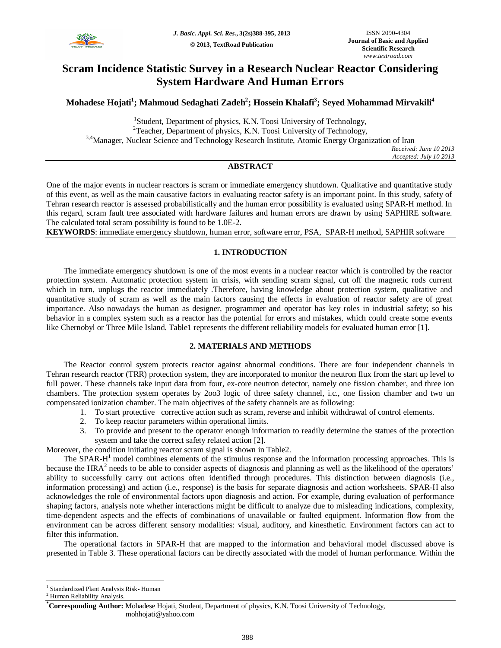

# **Scram Incidence Statistic Survey in a Research Nuclear Reactor Considering System Hardware And Human Errors**

**Mohadese Hojati<sup>1</sup> ; Mahmoud Sedaghati Zadeh<sup>2</sup> ; Hossein Khalafi<sup>3</sup> ; Seyed Mohammad Mirvakili<sup>4</sup>**

<sup>1</sup>Student, Department of physics, K.N. Toosi University of Technology, <sup>2</sup>Teacher, Department of physics, K.N. Toosi University of Technology, <sup>3,4</sup>Manager, Nuclear Science and Technology Research Institute, Atomic Energy Organization of Iran *Received: June 10 2013*

*Accepted: July 10 2013*

## **ABSTRACT**

One of the major events in nuclear reactors is scram or immediate emergency shutdown. Qualitative and quantitative study of this event, as well as the main causative factors in evaluating reactor safety is an important point. In this study, safety of Tehran research reactor is assessed probabilistically and the human error possibility is evaluated using SPAR-H method. In this regard, scram fault tree associated with hardware failures and human errors are drawn by using SAPHIRE software. The calculated total scram possibility is found to be 1.0E-2.

**KEYWORDS**: immediate emergency shutdown, human error, software error, PSA, SPAR-H method, SAPHIR software

### **1. INTRODUCTION**

The immediate emergency shutdown is one of the most events in a nuclear reactor which is controlled by the reactor protection system. Automatic protection system in crisis, with sending scram signal, cut off the magnetic rods current which in turn, unplugs the reactor immediately .Therefore, having knowledge about protection system, qualitative and quantitative study of scram as well as the main factors causing the effects in evaluation of reactor safety are of great importance. Also nowadays the human as designer, programmer and operator has key roles in industrial safety; so his behavior in a complex system such as a reactor has the potential for errors and mistakes, which could create some events like Chernobyl or Three Mile Island. Table1 represents the different reliability models for evaluated human error [1].

### **2. MATERIALS AND METHODS**

The Reactor control system protects reactor against abnormal conditions. There are four independent channels in Tehran research reactor (TRR) protection system, they are incorporated to monitor the neutron flux from the start up level to full power. These channels take input data from four, ex-core neutron detector, namely one fission chamber, and three ion chambers. The protection system operates by 2oo3 logic of three safety channel, i.c., one fission chamber and two un compensated ionization chamber. The main objectives of the safety channels are as following:

- 1. To start protective corrective action such as scram, reverse and inhibit withdrawal of control elements.
- 2. To keep reactor parameters within operational limits.
- 3. To provide and present to the operator enough information to readily determine the statues of the protection system and take the correct safety related action [2].

Moreover, the condition initiating reactor scram signal is shown in Table2.

The SPAR-H<sup>1</sup> model combines elements of the stimulus response and the information processing approaches. This is because the  $HRA<sup>2</sup>$  needs to be able to consider aspects of diagnosis and planning as well as the likelihood of the operators' ability to successfully carry out actions often identified through procedures. This distinction between diagnosis (i.e., information processing) and action (i.e., response) is the basis for separate diagnosis and action worksheets. SPAR-H also acknowledges the role of environmental factors upon diagnosis and action. For example, during evaluation of performance shaping factors, analysis note whether interactions might be difficult to analyze due to misleading indications, complexity, time-dependent aspects and the effects of combinations of unavailable or faulted equipment. Information flow from the environment can be across different sensory modalities: visual, auditory, and kinesthetic. Environment factors can act to filter this information.

The operational factors in SPAR-H that are mapped to the information and behavioral model discussed above is presented in Table 3. These operational factors can be directly associated with the model of human performance. Within the

 $\overline{\phantom{a}}$ 

<sup>&</sup>lt;sup>1</sup> Standardized Plant Analysis Risk- Human

<sup>2</sup> Human Reliability Analysis.

**<sup>\*</sup>Corresponding Author:** Mohadese Hojati, Student, Department of physics, K.N. Toosi University of Technology, mohhojati@yahoo.com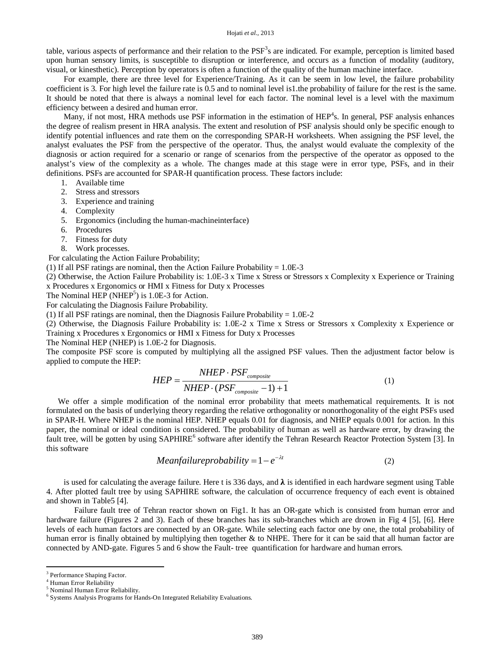table, various aspects of performance and their relation to the PSF<sup>3</sup>s are indicated. For example, perception is limited based upon human sensory limits, is susceptible to disruption or interference, and occurs as a function of modality (auditory, visual, or kinesthetic). Perception by operators is often a function of the quality of the human machine interface.

For example, there are three level for Experience/Training. As it can be seem in low level, the failure probability coefficient is 3. For high level the failure rate is 0.5 and to nominal level is1.the probability of failure for the rest is the same. It should be noted that there is always a nominal level for each factor. The nominal level is a level with the maximum efficiency between a desired and human error.

Many, if not most, HRA methods use PSF information in the estimation of  $HEP<sup>4</sup>$ s. In general, PSF analysis enhances the degree of realism present in HRA analysis. The extent and resolution of PSF analysis should only be specific enough to identify potential influences and rate them on the corresponding SPAR-H worksheets. When assigning the PSF level, the analyst evaluates the PSF from the perspective of the operator. Thus, the analyst would evaluate the complexity of the diagnosis or action required for a scenario or range of scenarios from the perspective of the operator as opposed to the analyst's view of the complexity as a whole. The changes made at this stage were in error type, PSFs, and in their definitions. PSFs are accounted for SPAR-H quantification process. These factors include:

- 1. Available time
- 2. Stress and stressors
- 3. Experience and training
- 4. Complexity
- 5. Ergonomics (including the human-machineinterface)
- 6. Procedures
- 7. Fitness for duty
- 8. Work processes.

For calculating the Action Failure Probability;

(1) If all PSF ratings are nominal, then the Action Failure Probability  $= 1.0E-3$ 

(2) Otherwise, the Action Failure Probability is: 1.0E-3 x Time x Stress or Stressors x Complexity x Experience or Training x Procedures x Ergonomics or HMI x Fitness for Duty x Processes

The Nominal HEP (NHEP<sup>5</sup>) is  $1.0E-3$  for Action.

For calculating the Diagnosis Failure Probability.

(1) If all PSF ratings are nominal, then the Diagnosis Failure Probability  $= 1.0E-2$ 

(2) Otherwise, the Diagnosis Failure Probability is: 1.0E-2 x Time x Stress or Stressors x Complexity x Experience or Training x Procedures x Ergonomics or HMI x Fitness for Duty x Processes

The Nominal HEP (NHEP) is 1.0E-2 for Diagnosis.

The composite PSF score is computed by multiplying all the assigned PSF values. Then the adjustment factor below is applied to compute the HEP:

$$
HEP = \frac{NHEP \cdot PSF_{composite}}{NHEP \cdot (PSF_{composite} - 1) + 1}
$$
 (1)

We offer a simple modification of the nominal error probability that meets mathematical requirements. It is not formulated on the basis of underlying theory regarding the relative orthogonality or nonorthogonality of the eight PSFs used in SPAR-H. Where NHEP is the nominal HEP. NHEP equals 0.01 for diagnosis, and NHEP equals 0.001 for action. In this paper, the nominal or ideal condition is considered. The probability of human as well as hardware error, by drawing the fault tree, will be gotten by using SAPHIRE<sup>6</sup> software after identify the Tehran Research Reactor Protection System [3]. In this software

$$
Mean failure probability = 1 - e^{-\lambda t}
$$
 (2)

is used for calculating the average failure. Here t is 336 days, and  $\lambda$  is identified in each hardware segment using Table 4. After plotted fault tree by using SAPHIRE software, the calculation of occurrence frequency of each event is obtained and shown in Table5 [4].

 Failure fault tree of Tehran reactor shown on Fig1. It has an OR-gate which is consisted from human error and hardware failure (Figures 2 and 3). Each of these branches has its sub-branches which are drown in Fig 4 [5], [6]. Here levels of each human factors are connected by an OR-gate. While selecting each factor one by one, the total probability of human error is finally obtained by multiplying then together & to NHPE. There for it can be said that all human factor are connected by AND-gate. Figures 5 and 6 show the Fault- tree quantification for hardware and human errors.

 $\overline{a}$ 

<sup>&</sup>lt;sup>3</sup> Performance Shaping Factor.

<sup>4</sup> Human Error Reliability

<sup>5</sup> Nominal Human Error Reliability.

<sup>6</sup> Systems Analysis Programs for Hands-On Integrated Reliability Evaluations.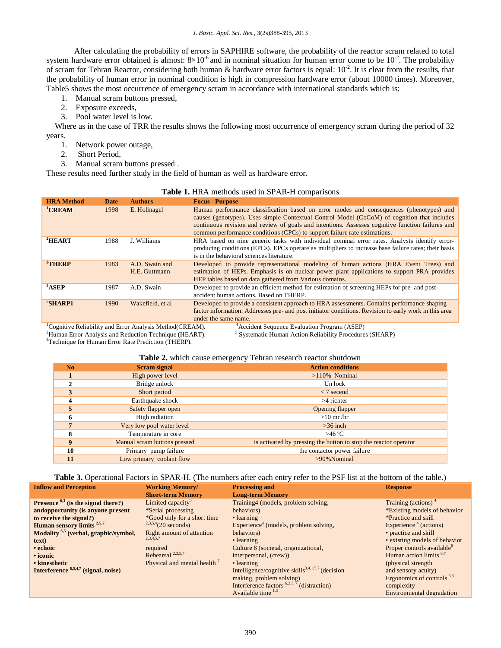*J. Basic. Appl. Sci. Res.*, 3(2s)388-395, 2013

 After calculating the probability of errors in SAPHIRE software, the probability of the reactor scram related to total system hardware error obtained is almost:  $8\times10^{-6}$  and in nominal situation for human error come to be  $10^{-2}$ . The probability of scram for Tehran Reactor, considering both human & hardware error factors is equal:  $10^{-2}$ . It is clear from the results, that the probability of human error in nominal condition is high in compression hardware error (about 10000 times). Moreover, Table5 shows the most occurrence of emergency scram in accordance with international standards which is:

- 1. Manual scram buttons pressed,
- 2. Exposure exceeds,
- 3. Pool water level is low.

Where as in the case of TRR the results shows the following most occurrence of emergency scram during the period of 32 years.

- 1. Network power outage,
- 2. Short Period,
- 3. Manual scram buttons pressed .

These results need further study in the field of human as well as hardware error.

|  |  | Table 1. HRA methods used in SPAR-H comparisons |
|--|--|-------------------------------------------------|
|  |  |                                                 |

| <b>HRA</b> Method  | Date          | <b>Authors</b>                                 | <b>Focus - Purpose</b>                                                                                                                                                                                                                                                                                                                                                  |
|--------------------|---------------|------------------------------------------------|-------------------------------------------------------------------------------------------------------------------------------------------------------------------------------------------------------------------------------------------------------------------------------------------------------------------------------------------------------------------------|
| <sup>1</sup> CREAM | 1998          | E. Hollnagel                                   | Human performance classification based on error modes and consequences (phenotypes) and<br>causes (genotypes). Uses simple Contextual Control Model (CoCoM) of cognition that includes<br>continuous revision and review of goals and intentions. Assesses cognitive function failures and<br>common performance conditions (CPCs) to support failure rate estimations. |
| ${}^{2}$ HEART     | 1988          | J. Williams                                    | HRA based on nine generic tasks with individual nominal error rates. Analysts identify error-<br>producing conditions (EPCs). EPCs operate as multipliers to increase base failure rates; their basis<br>is in the behavioral sciences literature.                                                                                                                      |
| $3$ THERP          | 1983          | A.D. Swain and<br>H.E. Guttmann                | Developed to provide representational modeling of human actions (HRA Event Trees) and<br>estimation of HEPs. Emphasis is on nuclear power plant applications to support PRA provides<br>HEP tables based on data gathered from Various domains.                                                                                                                         |
| <sup>4</sup> ASEP  | 1987          | A.D. Swain                                     | Developed to provide an efficient method for estimation of screening HEPs for pre- and post-<br>accident human actions. Based on THERP.                                                                                                                                                                                                                                 |
| $5$ SHARP1         | 1990          | Wakefield, et al.                              | Developed to provide a consistent approach to HRA assessments. Contains performance shaping<br>factor information. Addresses pre- and post initiator conditions. Revision to early work in this area<br>under the same name.                                                                                                                                            |
|                    | $\sim$ $\sim$ | المتابين المستحدث والمنافر والمتناور والمتناور |                                                                                                                                                                                                                                                                                                                                                                         |

<sup>1</sup>Cognitive Reliability and Error Analysis Method(CREAM). <sup>4</sup>Accident Sequence Evaluation Program (ASEP)

<sup>2</sup>Human Error Analysis and Reduction Technique (HEART).

<sup>3</sup>Technique for Human Error Rate Prediction (THERP).

5 Systematic Human Action Reliability Procedures (SHARP)

**Table 2.** which cause emergency Tehran research reactor shutdown

| <b>Table 2.</b> Which cause chief gency Teman research reactor shutuowith |                              |                                                                  |  |  |
|---------------------------------------------------------------------------|------------------------------|------------------------------------------------------------------|--|--|
| N <sub>0</sub>                                                            | Scram signal                 | <b>Action conditions</b>                                         |  |  |
|                                                                           | High power level             | $>110\%$ Nominal                                                 |  |  |
|                                                                           | Bridge unlock                | Un lock                                                          |  |  |
|                                                                           | Short period                 | $\langle 7 \text{ second}$                                       |  |  |
|                                                                           | Earthquake shock             | $>4$ richter                                                     |  |  |
|                                                                           | Safety flapper open          | Opening flapper                                                  |  |  |
| 6                                                                         | High radiation               | $>10$ mr/hr                                                      |  |  |
|                                                                           | Very low pool water level    | $>36$ inch                                                       |  |  |
| Δ                                                                         | Temperature in core          | >46 °C                                                           |  |  |
| 9                                                                         | Manual scram buttons pressed | is activated by pressing the button to stop the reactor operator |  |  |
| 10                                                                        | Primary pump failure         | the contactor power failure                                      |  |  |
| 11                                                                        | Low primary coolant flow     | $>90\%$ Nominal                                                  |  |  |

**Table 3.** Operational Factors in SPAR-H. (The numbers after each entry refer to the PSF list at the bottom of the table.)

| <b>Inflow and Perception</b>                     | <b>Working Memory/</b>           | <b>Processing and</b>                                        | <b>Response</b>                        |
|--------------------------------------------------|----------------------------------|--------------------------------------------------------------|----------------------------------------|
|                                                  | <b>Short-term Memory</b>         | <b>Long-term Memory</b>                                      |                                        |
| Presence $6,3$ (is the signal there?)            | Limited capacity <sup>5</sup>    | Training4 (models, problem solving,                          | Training (actions) <sup>4</sup>        |
| andopportunity (is anyone present                | *Serial processing               | behaviors)                                                   | *Existing models of behavior           |
| to receive the signal?)                          | *Good only for a short time      | • learning                                                   | *Practice and skill                    |
| Human sensory limits <sup>2,5,7</sup>            | $2,3,5,4$ (20 seconds)           | Experience <sup>4</sup> (models, problem solving,            | Experience $4$ (actions)               |
| Modality <sup>6,5</sup> (verbal, graphic/symbol, | <b>Right amount of attention</b> | behaviors)                                                   | • practice and skill                   |
| text)                                            | $2,3,\bar{4},5,7$                | • learning                                                   | • existing models of behavior          |
| • echoic                                         | required                         | Culture 8 (societal, organizational,                         | Proper controls available <sup>o</sup> |
| • iconic                                         | Rehearsal <sup>2,3,5,7</sup>     | interpersonal, (crew))                                       | Human action limits <sup>6,7</sup>     |
| • kinesthetic                                    | Physical and mental health '     | • learning                                                   | (physical strength)                    |
| Interference $6,5,4,7$ (signal, noise)           |                                  | Intelligence/cognitive skills <sup>3,4,1,5,7</sup> (decision | and sensory acuity)                    |
|                                                  |                                  | making, problem solving)                                     | Ergonomics of controls $6,3$           |
|                                                  |                                  | Interference factors $6,2,3,7$<br>(distraction)              | complexity                             |
|                                                  |                                  | Available time $^{1,3}$                                      | Environmental degradation              |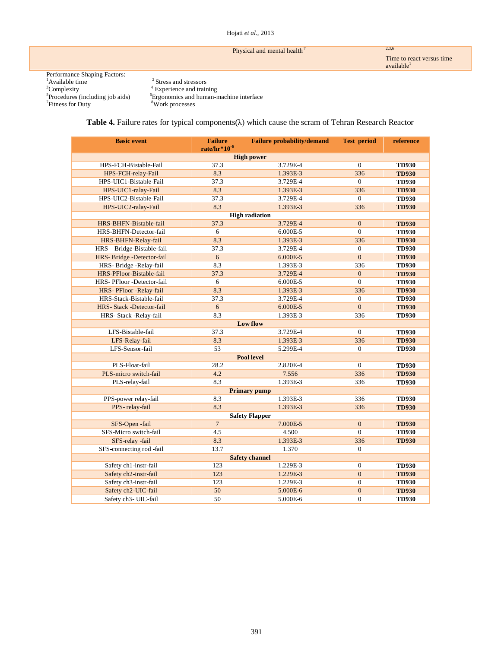#### Hojati *et al.,* 2013

# Physical and mental health<sup>7</sup> 2,3,6

Time to react versus time available $^{\rm l}$ 

Performance Shaping Factors: <sup>1</sup>Available time  $\frac{3}{5}$ Complexity  $\frac{4}{5}$ Experience and training  $\frac{5}{5}$ <sup>7</sup>Fitness for Duty

<sup>2</sup> Stress and stressors Procedures (including job aids) <sup>6</sup>Ergonomics and human-machine interface <sup>8</sup>Work processes

**Table 4.** Failure rates for typical components(λ) which cause the scram of Tehran Research Reactor

| <b>Basic event</b>         | <b>Failure probability/demand</b> | <b>Test period</b>    | reference        |              |  |  |  |
|----------------------------|-----------------------------------|-----------------------|------------------|--------------|--|--|--|
|                            | rate/hr* $10^{-6}$                | <b>High power</b>     |                  |              |  |  |  |
| HPS-FCH-Bistable-Fail      | 37.3                              | 3.729E-4              | $\Omega$         | <b>TD930</b> |  |  |  |
| HPS-FCH-relay-Fail         | 8.3                               | 1.393E-3              | 336              | <b>TD930</b> |  |  |  |
| HPS-UIC1-Bistable-Fail     | 37.3                              | 3.729E-4              | $\mathbf{0}$     | <b>TD930</b> |  |  |  |
| HPS-UIC1-ralay-Fail        | 8.3                               | 1.393E-3              | 336              | <b>TD930</b> |  |  |  |
| HPS-UIC2-Bistable-Fail     | 37.3                              | 3.729E-4              | $\theta$         | <b>TD930</b> |  |  |  |
| HPS-UIC2-ralay-Fail        | 8.3                               | 1.393E-3              | 336              | <b>TD930</b> |  |  |  |
|                            |                                   | <b>High radiation</b> |                  |              |  |  |  |
| HRS-BHFN-Bistable-fail     | 37.3                              | 3.729E-4              | $\mathbf{0}$     | <b>TD930</b> |  |  |  |
| HRS-BHFN-Detector-fail     | 6                                 | 6.000E-5              | $\overline{0}$   | <b>TD930</b> |  |  |  |
| HRS-BHFN-Relay-fail        | 8.3                               | 1.393E-3              | 336              | <b>TD930</b> |  |  |  |
| HRS-Bridge-Bistable-fail   | 37.3                              | 3.729E-4              | $\mathbf{0}$     | <b>TD930</b> |  |  |  |
| HRS-Bridge-Detector-fail   | 6                                 | 6.000E-5              | $\theta$         | <b>TD930</b> |  |  |  |
| HRS-Bridge-Relay-fail      | 8.3                               | 1.393E-3              | 336              | <b>TD930</b> |  |  |  |
| HRS-PFloor-Bistable-fail   | 37.3                              | 3.729E-4              | $\overline{0}$   | <b>TD930</b> |  |  |  |
| HRS- PFloor -Detector-fail | 6                                 | 6.000E-5              | $\theta$         | <b>TD930</b> |  |  |  |
| HRS-PFloor-Relay-fail      | 8.3                               | 1.393E-3              | 336              | <b>TD930</b> |  |  |  |
| HRS-Stack-Bistable-fail    | 37.3                              | 3.729E-4              | $\overline{0}$   | <b>TD930</b> |  |  |  |
| HRS- Stack -Detector-fail  | 6                                 | 6.000E-5              | $\overline{0}$   | <b>TD930</b> |  |  |  |
| HRS- Stack -Relay-fail     | 8.3                               | 1.393E-3              | 336              | <b>TD930</b> |  |  |  |
|                            |                                   | Low flow              |                  |              |  |  |  |
| LFS-Bistable-fail          | 37.3                              | 3.729E-4              | $\overline{0}$   | <b>TD930</b> |  |  |  |
| LFS-Relay-fail             | 8.3                               | 1.393E-3              | 336              | <b>TD930</b> |  |  |  |
| LFS-Sensor-fail            | 53                                | 5.299E-4              | $\overline{0}$   | <b>TD930</b> |  |  |  |
|                            |                                   | <b>Pool level</b>     |                  |              |  |  |  |
| PLS-Float-fail             | 28.2                              | 2.820E-4              | $\overline{0}$   | <b>TD930</b> |  |  |  |
| PLS-micro switch-fail      | 4.2                               | 7.556                 | 336              | <b>TD930</b> |  |  |  |
| PLS-relay-fail             | 8.3                               | 1.393E-3              | 336              | <b>TD930</b> |  |  |  |
| <b>Primary pump</b>        |                                   |                       |                  |              |  |  |  |
| PPS-power relay-fail       | 8.3                               | 1.393E-3              | 336              | <b>TD930</b> |  |  |  |
| PPS-relay-fail             | 8.3                               | 1.393E-3              | 336              | <b>TD930</b> |  |  |  |
| <b>Safety Flapper</b>      |                                   |                       |                  |              |  |  |  |
| SFS-Open-fail              | $\overline{7}$                    | 7.000E-5              | $\overline{0}$   | <b>TD930</b> |  |  |  |
| SFS-Micro switch-fail      | 4.5                               | 4.500                 | $\overline{0}$   | <b>TD930</b> |  |  |  |
| SFS-relay -fail            | 8.3                               | 1.393E-3              | 336              | <b>TD930</b> |  |  |  |
| SFS-connecting rod -fail   | 13.7                              | 1.370                 | $\overline{0}$   |              |  |  |  |
| <b>Safety channel</b>      |                                   |                       |                  |              |  |  |  |
| Safety ch1-instr-fail      | 123                               | 1.229E-3              | $\boldsymbol{0}$ | <b>TD930</b> |  |  |  |
| Safety ch2-instr-fail      | 123                               | 1.229E-3              | $\overline{0}$   | <b>TD930</b> |  |  |  |
| Safety ch3-instr-fail      | 123                               | 1.229E-3              | $\boldsymbol{0}$ | <b>TD930</b> |  |  |  |
| Safety ch2-UIC-fail        | 50                                | 5.000E-6              | $\mathbf{0}$     | <b>TD930</b> |  |  |  |
| Safety ch3- UIC-fail       | 50                                | 5.000E-6              | $\overline{0}$   | <b>TD930</b> |  |  |  |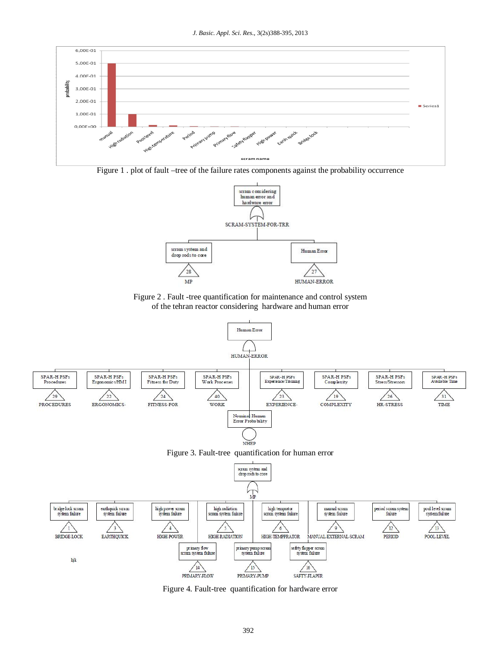

Figure 1 . plot of fault –tree of the failure rates components against the probability occurrence



Figure 2 . Fault -tree quantification for maintenance and control system of the tehran reactor considering hardware and human error



Figure 4. Fault-tree quantification for hardware error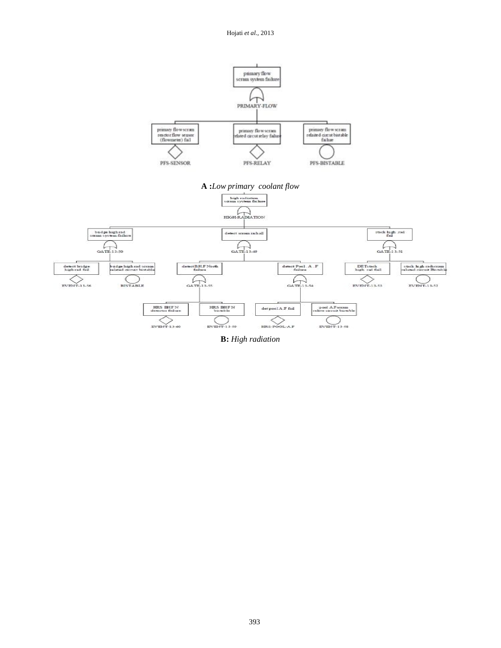

**B:** *High radiation*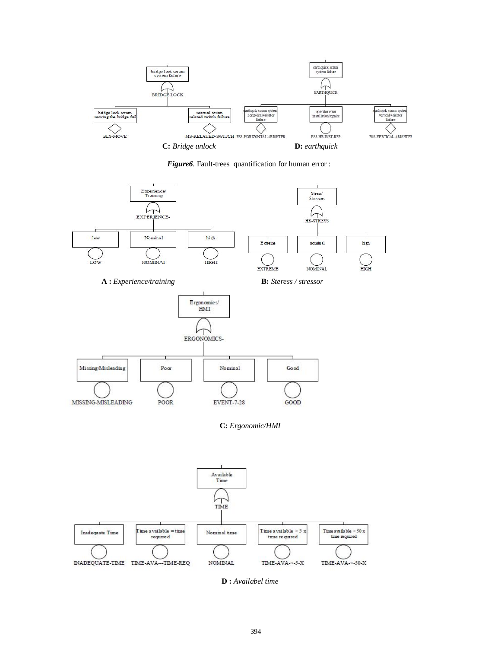

*Figure6*. Fault-trees quantification for human error :



**D :** *Availabel time*